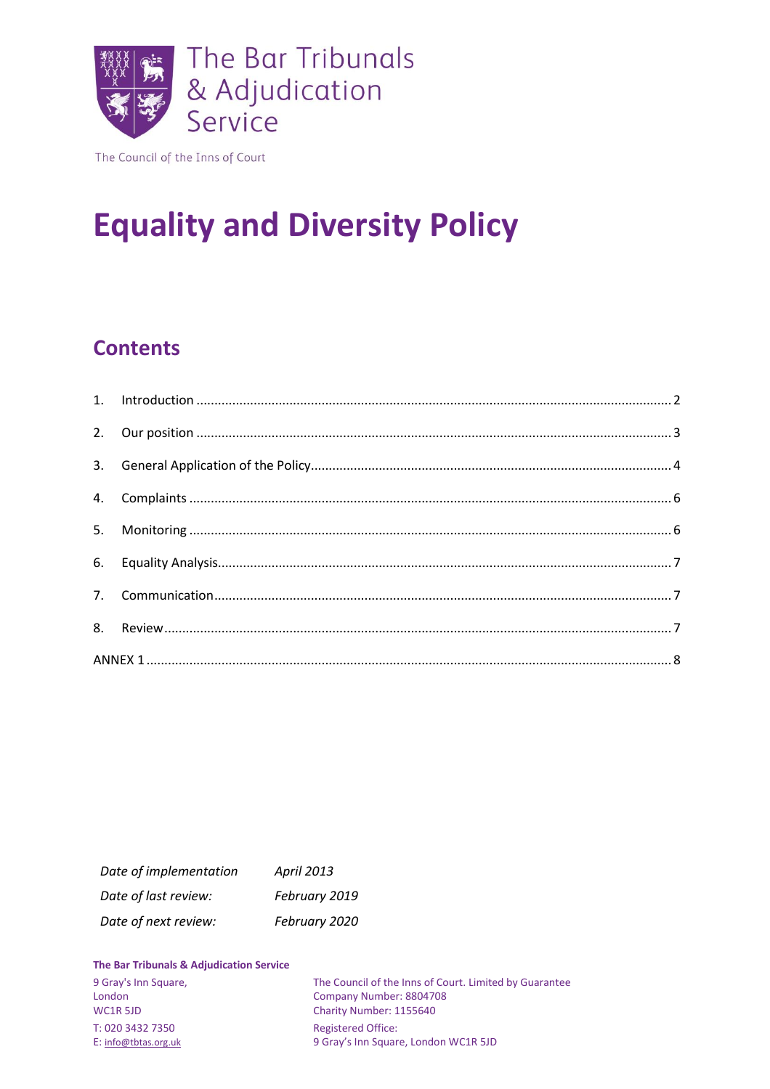

The Council of the Inns of Court

# **Equality and Diversity Policy**

## **Contents**

| Date of implementation | April 2013    |
|------------------------|---------------|
| Date of last review:   | February 2019 |
| Date of next review:   | February 2020 |

#### The Bar Tribunals & Adjudication Service

| 9 Gray's Inn Square,<br>London | The Council of the Inns of Court. Limited by Guarantee<br>Company Number: 8804708 |
|--------------------------------|-----------------------------------------------------------------------------------|
| WC1R 5JD                       | Charity Number: 1155640                                                           |
| T: 020 3432 7350               | <b>Registered Office:</b>                                                         |
| E: info@tbtas.org.uk           | 9 Gray's Inn Square, London WC1R 5JD                                              |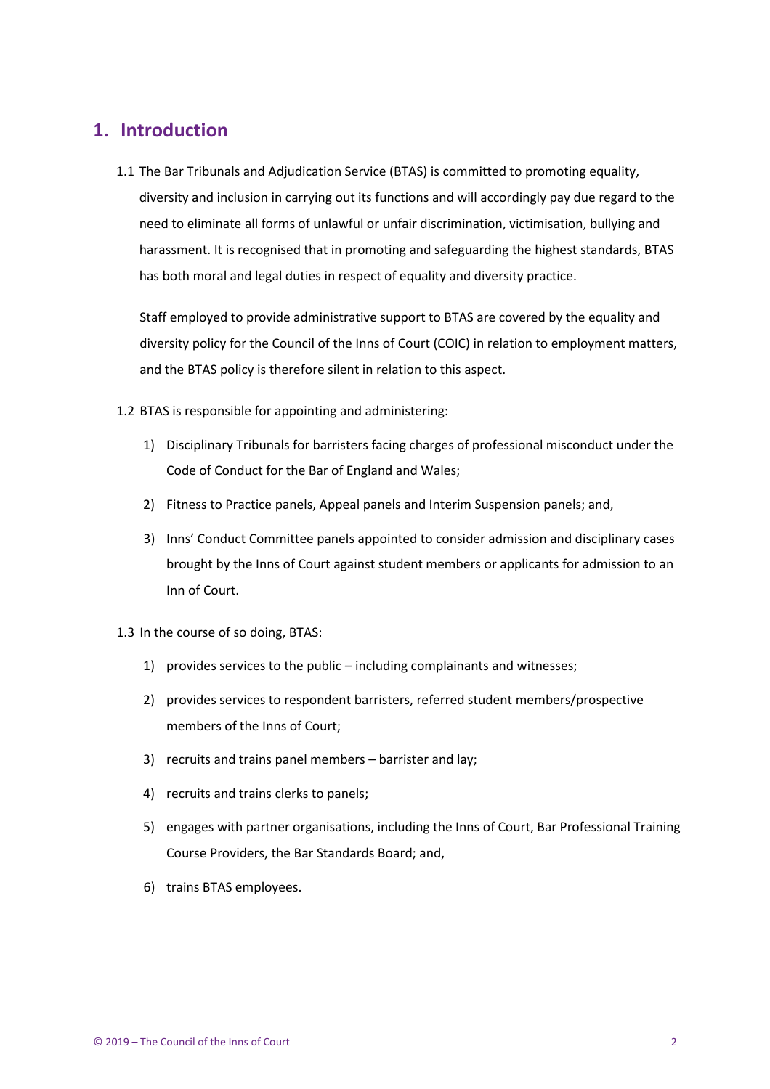## <span id="page-1-0"></span>**1. Introduction**

1.1 The Bar Tribunals and Adjudication Service (BTAS) is committed to promoting equality, diversity and inclusion in carrying out its functions and will accordingly pay due regard to the need to eliminate all forms of unlawful or unfair discrimination, victimisation, bullying and harassment. It is recognised that in promoting and safeguarding the highest standards, BTAS has both moral and legal duties in respect of equality and diversity practice.

Staff employed to provide administrative support to BTAS are covered by the equality and diversity policy for the Council of the Inns of Court (COIC) in relation to employment matters, and the BTAS policy is therefore silent in relation to this aspect.

1.2 BTAS is responsible for appointing and administering:

- 1) Disciplinary Tribunals for barristers facing charges of professional misconduct under the Code of Conduct for the Bar of England and Wales;
- 2) Fitness to Practice panels, Appeal panels and Interim Suspension panels; and,
- 3) Inns' Conduct Committee panels appointed to consider admission and disciplinary cases brought by the Inns of Court against student members or applicants for admission to an Inn of Court.

#### 1.3 In the course of so doing, BTAS:

- 1) provides services to the public including complainants and witnesses;
- 2) provides services to respondent barristers, referred student members/prospective members of the Inns of Court;
- 3) recruits and trains panel members barrister and lay;
- 4) recruits and trains clerks to panels;
- 5) engages with partner organisations, including the Inns of Court, Bar Professional Training Course Providers, the Bar Standards Board; and,
- 6) trains BTAS employees.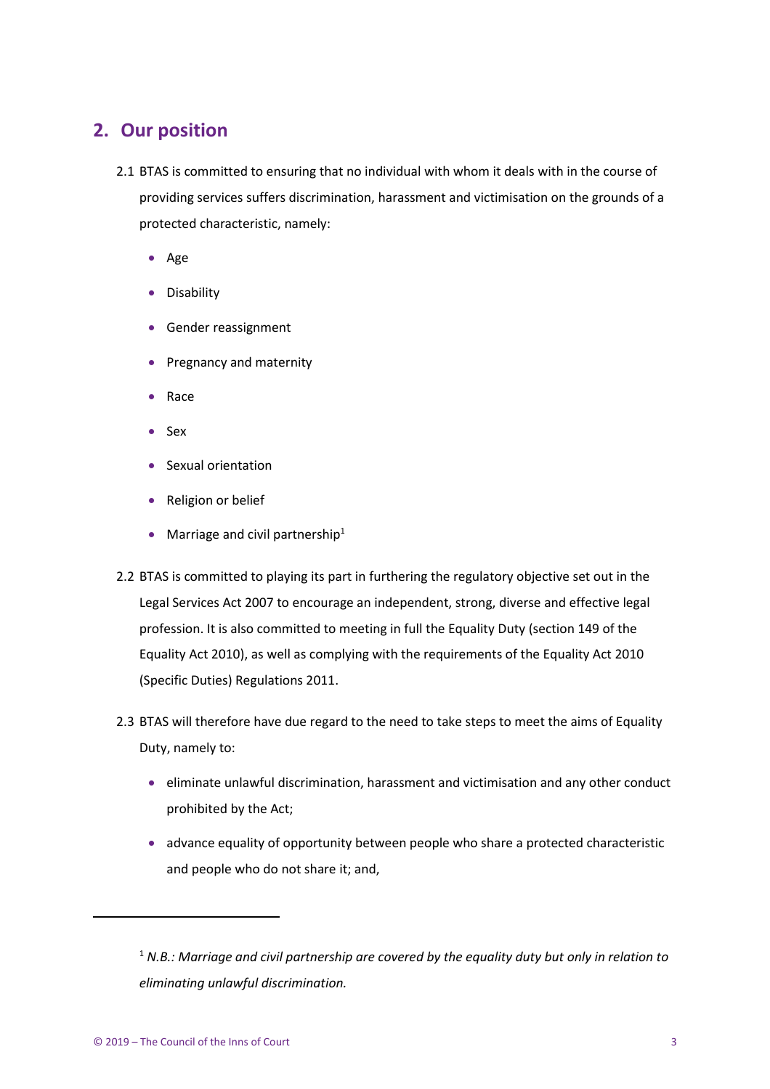## <span id="page-2-0"></span>**2. Our position**

- 2.1 BTAS is committed to ensuring that no individual with whom it deals with in the course of providing services suffers discrimination, harassment and victimisation on the grounds of a protected characteristic, namely:
	- Age
	- Disability
	- Gender reassignment
	- Pregnancy and maternity
	- Race
	- Sex
	- Sexual orientation
	- Religion or belief
	- Marriage and civil partnership $1$
- 2.2 BTAS is committed to playing its part in furthering the regulatory objective set out in the Legal Services Act 2007 to encourage an independent, strong, diverse and effective legal profession. It is also committed to meeting in full the Equality Duty (section 149 of the Equality Act 2010), as well as complying with the requirements of the Equality Act 2010 (Specific Duties) Regulations 2011.
- 2.3 BTAS will therefore have due regard to the need to take steps to meet the aims of Equality Duty, namely to:
	- eliminate unlawful discrimination, harassment and victimisation and any other conduct prohibited by the Act;
	- advance equality of opportunity between people who share a protected characteristic and people who do not share it; and,

 $\overline{a}$ 

<sup>1</sup> *N.B.: Marriage and civil partnership are covered by the equality duty but only in relation to eliminating unlawful discrimination.*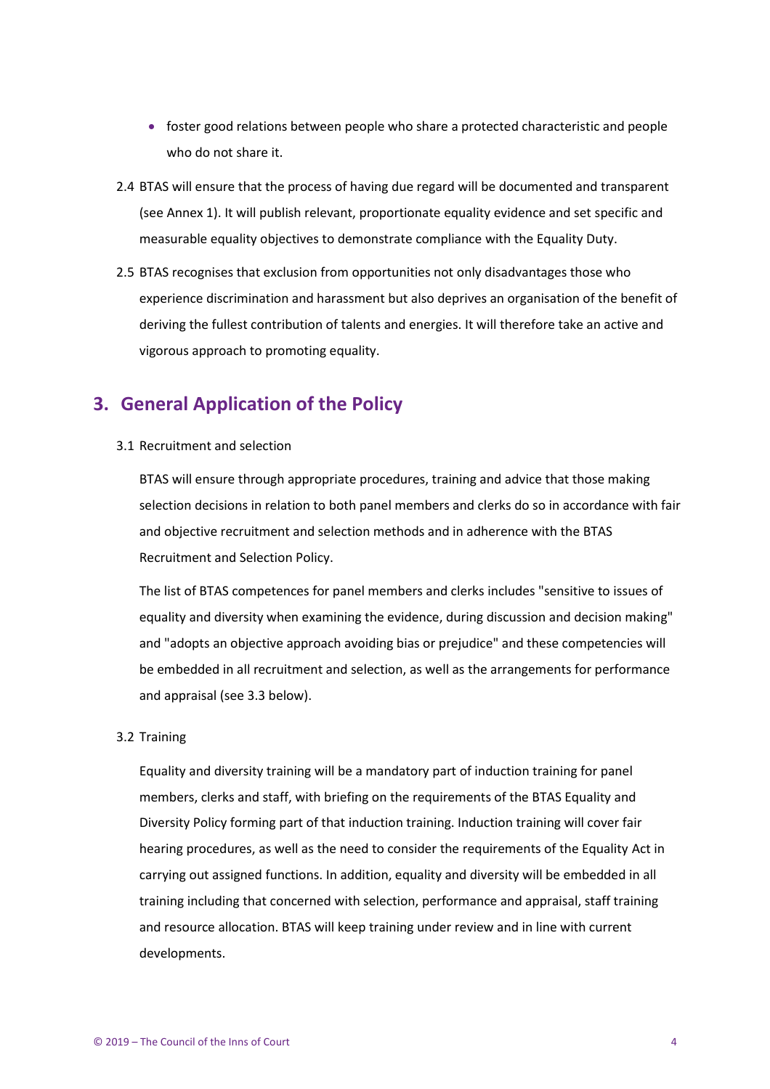- foster good relations between people who share a protected characteristic and people who do not share it.
- 2.4 BTAS will ensure that the process of having due regard will be documented and transparent (see Annex 1). It will publish relevant, proportionate equality evidence and set specific and measurable equality objectives to demonstrate compliance with the Equality Duty.
- 2.5 BTAS recognises that exclusion from opportunities not only disadvantages those who experience discrimination and harassment but also deprives an organisation of the benefit of deriving the fullest contribution of talents and energies. It will therefore take an active and vigorous approach to promoting equality.

## <span id="page-3-0"></span>**3. General Application of the Policy**

3.1 Recruitment and selection

BTAS will ensure through appropriate procedures, training and advice that those making selection decisions in relation to both panel members and clerks do so in accordance with fair and objective recruitment and selection methods and in adherence with the BTAS Recruitment and Selection Policy.

The list of BTAS competences for panel members and clerks includes "sensitive to issues of equality and diversity when examining the evidence, during discussion and decision making" and "adopts an objective approach avoiding bias or prejudice" and these competencies will be embedded in all recruitment and selection, as well as the arrangements for performance and appraisal (see 3.3 below).

#### 3.2 Training

Equality and diversity training will be a mandatory part of induction training for panel members, clerks and staff, with briefing on the requirements of the BTAS Equality and Diversity Policy forming part of that induction training. Induction training will cover fair hearing procedures, as well as the need to consider the requirements of the Equality Act in carrying out assigned functions. In addition, equality and diversity will be embedded in all training including that concerned with selection, performance and appraisal, staff training and resource allocation. BTAS will keep training under review and in line with current developments.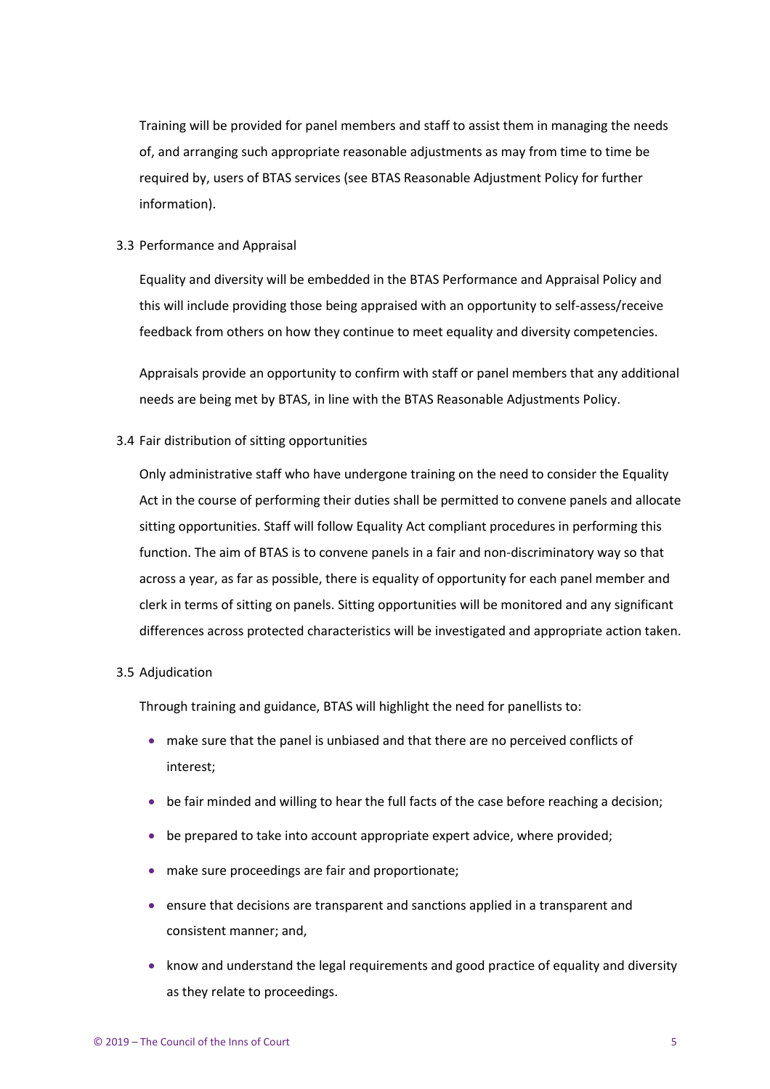Training will be provided for panel members and staff to assist them in managing the needs of, and arranging such appropriate reasonable adjustments as may from time to time be required by, users of BTAS services (see BTAS Reasonable Adjustment Policy for further information).

#### 3.3 Performance and Appraisal

Equality and diversity will be embedded in the BTAS Performance and Appraisal Policy and this will include providing those being appraised with an opportunity to self-assess/receive feedback from others on how they continue to meet equality and diversity competencies.

Appraisals provide an opportunity to confirm with staff or panel members that any additional needs are being met by BTAS, in line with the BTAS Reasonable Adjustments Policy.

#### 3.4 Fair distribution of sitting opportunities

Only administrative staff who have undergone training on the need to consider the Equality Act in the course of performing their duties shall be permitted to convene panels and allocate sitting opportunities. Staff will follow Equality Act compliant procedures in performing this function. The aim of BTAS is to convene panels in a fair and non-discriminatory way so that across a year, as far as possible, there is equality of opportunity for each panel member and clerk in terms of sitting on panels. Sitting opportunities will be monitored and any significant differences across protected characteristics will be investigated and appropriate action taken.

#### 3.5 Adjudication

Through training and guidance, BTAS will highlight the need for panellists to:

- make sure that the panel is unbiased and that there are no perceived conflicts of interest;
- be fair minded and willing to hear the full facts of the case before reaching a decision;
- be prepared to take into account appropriate expert advice, where provided;
- make sure proceedings are fair and proportionate;
- ensure that decisions are transparent and sanctions applied in a transparent and consistent manner; and,
- know and understand the legal requirements and good practice of equality and diversity as they relate to proceedings.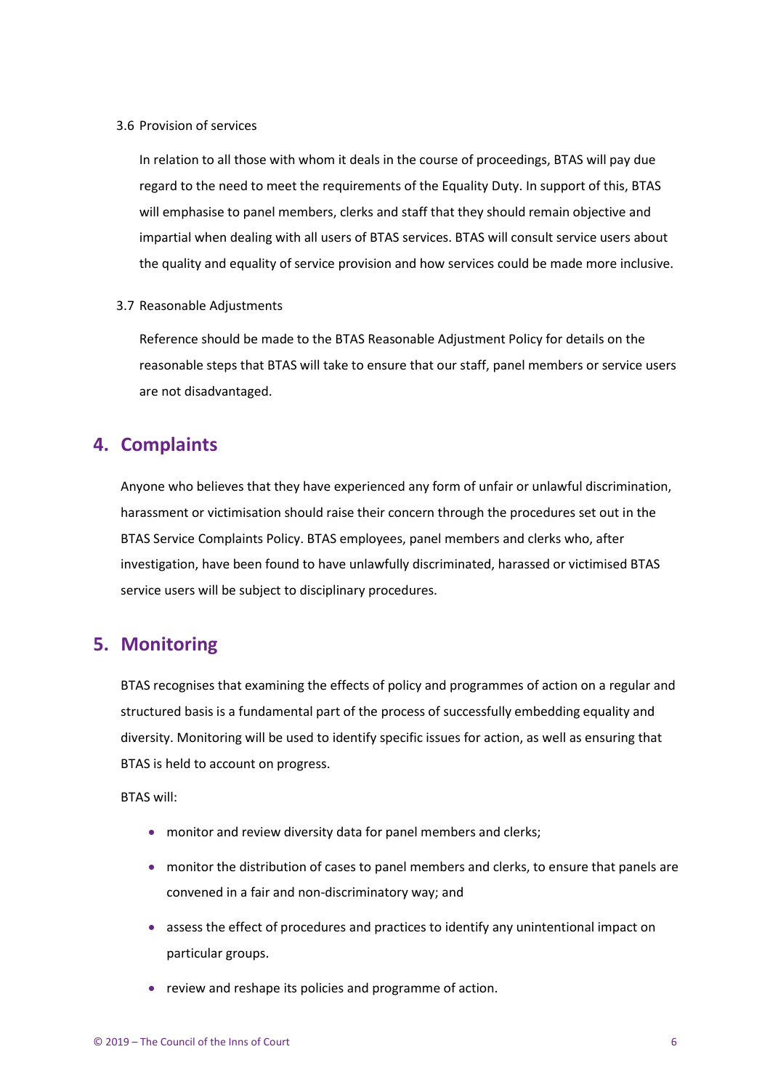3.6 Provision of services

In relation to all those with whom it deals in the course of proceedings, BTAS will pay due regard to the need to meet the requirements of the Equality Duty. In support of this, BTAS will emphasise to panel members, clerks and staff that they should remain objective and impartial when dealing with all users of BTAS services. BTAS will consult service users about the quality and equality of service provision and how services could be made more inclusive.

3.7 Reasonable Adjustments

Reference should be made to the BTAS Reasonable Adjustment Policy for details on the reasonable steps that BTAS will take to ensure that our staff, panel members or service users are not disadvantaged.

## <span id="page-5-0"></span>**4. Complaints**

Anyone who believes that they have experienced any form of unfair or unlawful discrimination, harassment or victimisation should raise their concern through the procedures set out in the BTAS Service Complaints Policy. BTAS employees, panel members and clerks who, after investigation, have been found to have unlawfully discriminated, harassed or victimised BTAS service users will be subject to disciplinary procedures.

## <span id="page-5-1"></span>**5. Monitoring**

BTAS recognises that examining the effects of policy and programmes of action on a regular and structured basis is a fundamental part of the process of successfully embedding equality and diversity. Monitoring will be used to identify specific issues for action, as well as ensuring that BTAS is held to account on progress.

BTAS will:

- monitor and review diversity data for panel members and clerks;
- monitor the distribution of cases to panel members and clerks, to ensure that panels are convened in a fair and non-discriminatory way; and
- assess the effect of procedures and practices to identify any unintentional impact on particular groups.
- review and reshape its policies and programme of action.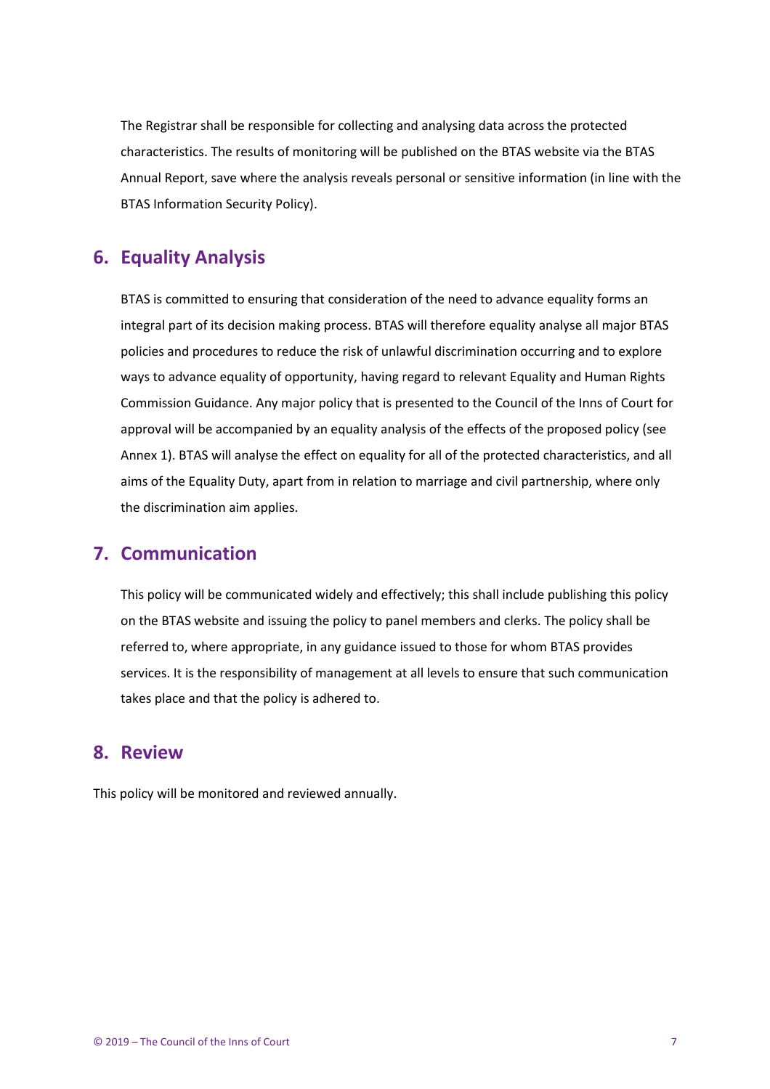The Registrar shall be responsible for collecting and analysing data across the protected characteristics. The results of monitoring will be published on the BTAS website via the BTAS Annual Report, save where the analysis reveals personal or sensitive information (in line with the BTAS Information Security Policy).

## <span id="page-6-0"></span>**6. Equality Analysis**

BTAS is committed to ensuring that consideration of the need to advance equality forms an integral part of its decision making process. BTAS will therefore equality analyse all major BTAS policies and procedures to reduce the risk of unlawful discrimination occurring and to explore ways to advance equality of opportunity, having regard to relevant Equality and Human Rights Commission Guidance. Any major policy that is presented to the Council of the Inns of Court for approval will be accompanied by an equality analysis of the effects of the proposed policy (see Annex 1). BTAS will analyse the effect on equality for all of the protected characteristics, and all aims of the Equality Duty, apart from in relation to marriage and civil partnership, where only the discrimination aim applies.

## <span id="page-6-1"></span>**7. Communication**

This policy will be communicated widely and effectively; this shall include publishing this policy on the BTAS website and issuing the policy to panel members and clerks. The policy shall be referred to, where appropriate, in any guidance issued to those for whom BTAS provides services. It is the responsibility of management at all levels to ensure that such communication takes place and that the policy is adhered to.

## <span id="page-6-2"></span>**8. Review**

This policy will be monitored and reviewed annually.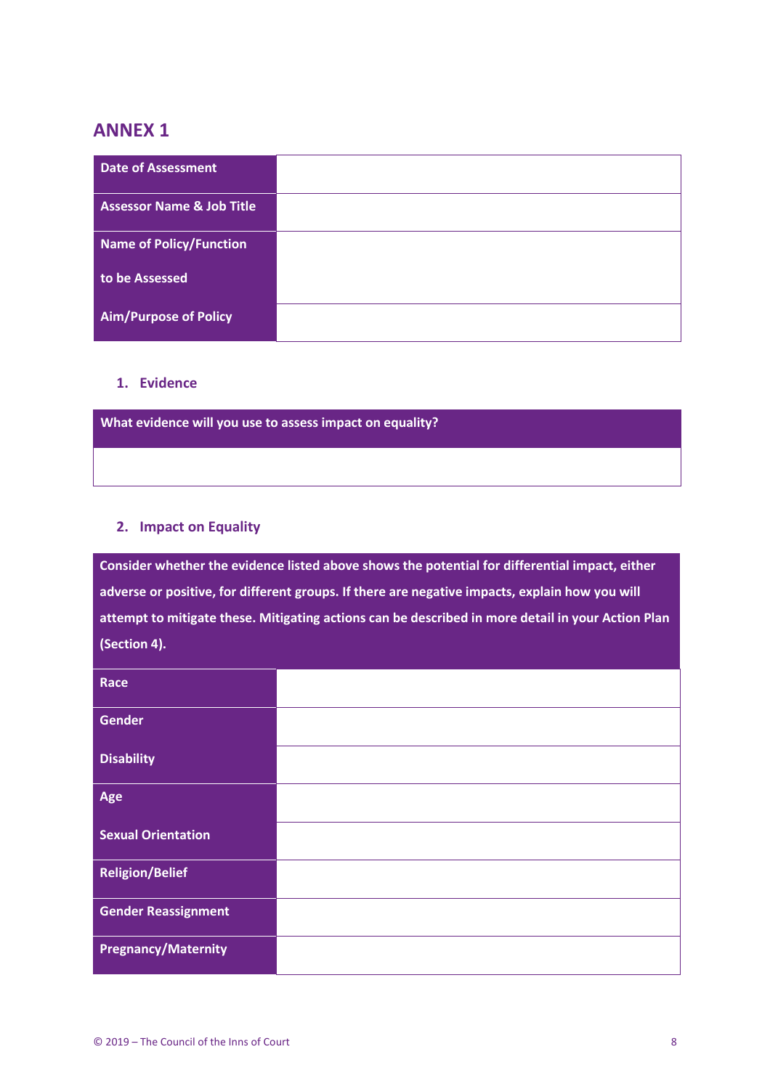## <span id="page-7-0"></span>**ANNEX 1**

| <b>Date of Assessment</b>            |  |
|--------------------------------------|--|
| <b>Assessor Name &amp; Job Title</b> |  |
| Name of Policy/Function              |  |
| to be Assessed                       |  |
| <b>Aim/Purpose of Policy</b>         |  |

#### **1. Evidence**

**What evidence will you use to assess impact on equality?**

#### **2. Impact on Equality**

**Consider whether the evidence listed above shows the potential for differential impact, either adverse or positive, for different groups. If there are negative impacts, explain how you will attempt to mitigate these. Mitigating actions can be described in more detail in your Action Plan (Section 4).**

| Race                       |  |
|----------------------------|--|
| <b>Gender</b>              |  |
| <b>Disability</b>          |  |
| Age                        |  |
| <b>Sexual Orientation</b>  |  |
| <b>Religion/Belief</b>     |  |
| <b>Gender Reassignment</b> |  |
| <b>Pregnancy/Maternity</b> |  |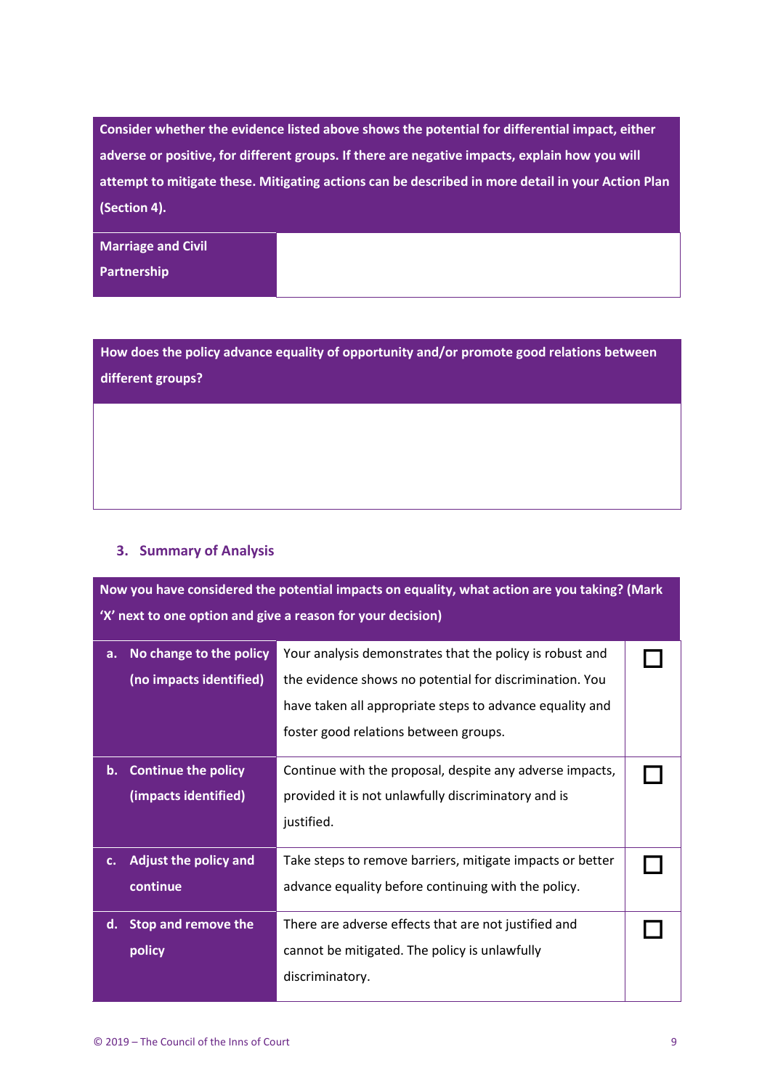**Consider whether the evidence listed above shows the potential for differential impact, either adverse or positive, for different groups. If there are negative impacts, explain how you will attempt to mitigate these. Mitigating actions can be described in more detail in your Action Plan (Section 4).**

**Marriage and Civil** 

**Partnership**

**How does the policy advance equality of opportunity and/or promote good relations between different groups?**

### **3. Summary of Analysis**

**Now you have considered the potential impacts on equality, what action are you taking? (Mark 'X' next to one option and give a reason for your decision)**

| a.          | No change to the policy<br>Your analysis demonstrates that the policy is robust and |                                                           |  |
|-------------|-------------------------------------------------------------------------------------|-----------------------------------------------------------|--|
|             | (no impacts identified)                                                             | the evidence shows no potential for discrimination. You   |  |
|             |                                                                                     | have taken all appropriate steps to advance equality and  |  |
|             |                                                                                     | foster good relations between groups.                     |  |
|             | b. Continue the policy                                                              | Continue with the proposal, despite any adverse impacts,  |  |
|             | (impacts identified)                                                                | provided it is not unlawfully discriminatory and is       |  |
|             |                                                                                     | justified.                                                |  |
| $c_{\cdot}$ | <b>Adjust the policy and</b>                                                        | Take steps to remove barriers, mitigate impacts or better |  |
|             | continue                                                                            | advance equality before continuing with the policy.       |  |
|             | d. Stop and remove the                                                              | There are adverse effects that are not justified and      |  |
|             | policy                                                                              | cannot be mitigated. The policy is unlawfully             |  |
|             |                                                                                     | discriminatory.                                           |  |